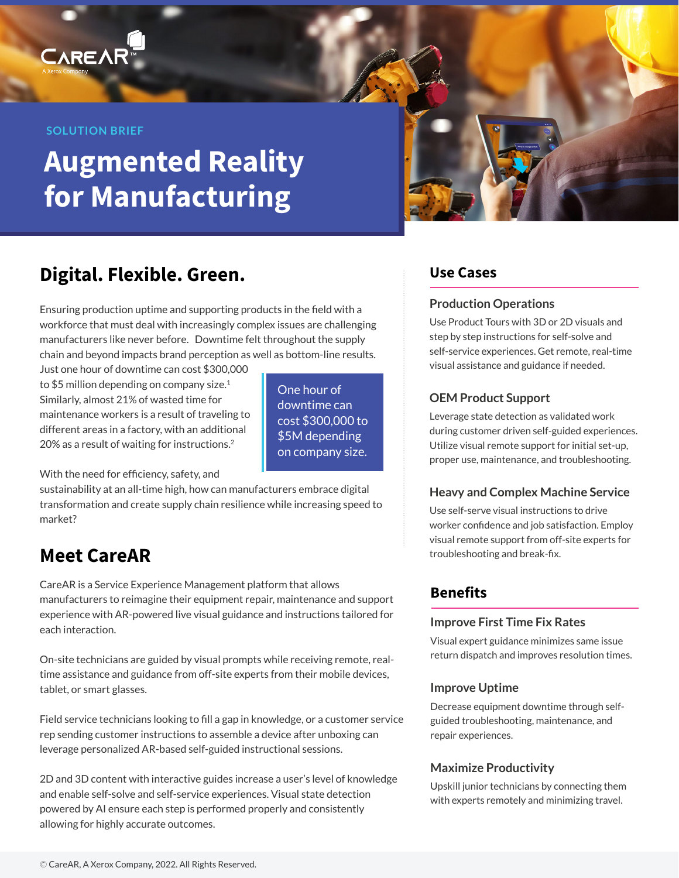#### **SOLUTION BRIEF**

CAREA

# **Augmented Reality for Manufacturing**



## **Digital. Flexible. Green.**

Ensuring production uptime and supporting products in the field with a workforce that must deal with increasingly complex issues are challenging manufacturers like never before. Downtime felt throughout the supply chain and beyond impacts brand perception as well as bottom-line results.

Just one hour of downtime can cost \$300,000 to \$5 million depending on company size.<sup>1</sup> Similarly, almost 21% of wasted time for maintenance workers is a result of traveling to different areas in a factory, with an additional 20% as a result of waiting for instructions.2

One hour of downtime can cost \$300,000 to \$5M depending on company size.

With the need for efficiency, safety, and

sustainability at an all-time high, how can manufacturers embrace digital transformation and create supply chain resilience while increasing speed to market?

### **Meet CareAR**

CareAR is a Service Experience Management platform that allows manufacturers to reimagine their equipment repair, maintenance and support experience with AR-powered live visual guidance and instructions tailored for each interaction.

On-site technicians are guided by visual prompts while receiving remote, realtime assistance and guidance from off-site experts from their mobile devices, tablet, or smart glasses.

Field service technicians looking to fill a gap in knowledge, or a customer service rep sending customer instructions to assemble a device after unboxing can leverage personalized AR-based self-guided instructional sessions.

2D and 3D content with interactive guides increase a user's level of knowledge and enable self-solve and self-service experiences. Visual state detection powered by AI ensure each step is performed properly and consistently allowing for highly accurate outcomes.

#### **Use Cases**

#### **Production Operations**

Use Product Tours with 3D or 2D visuals and step by step instructions for self-solve and self-service experiences. Get remote, real-time visual assistance and guidance if needed.

#### **OEM Product Support**

Leverage state detection as validated work during customer driven self-guided experiences. Utilize visual remote support for initial set-up, proper use, maintenance, and troubleshooting.

#### **Heavy and Complex Machine Service**

Use self-serve visual instructions to drive worker confidence and job satisfaction. Employ visual remote support from off-site experts for troubleshooting and break-fix.

### **Benefits**

#### **Improve First Time Fix Rates**

Visual expert guidance minimizes same issue return dispatch and improves resolution times.

#### **Improve Uptime**

Decrease equipment downtime through selfguided troubleshooting, maintenance, and repair experiences.

#### **Maximize Productivity**

Upskill junior technicians by connecting them with experts remotely and minimizing travel.